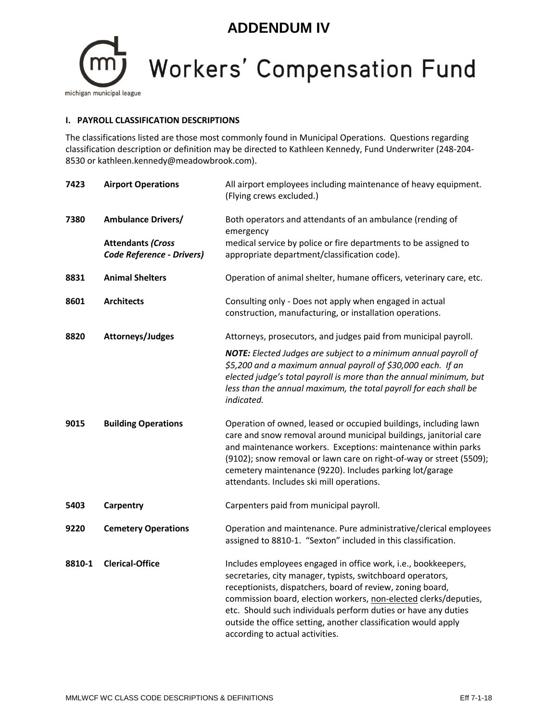## **ADDENDUM IV**

## **Workers' Compensation Fund** michigan municipal league

## **I. PAYROLL CLASSIFICATION DESCRIPTIONS**

The classifications listed are those most commonly found in Municipal Operations. Questions regarding classification description or definition may be directed to Kathleen Kennedy, Fund Underwriter (248-204- 8530 or kathleen.kennedy@meadowbrook.com).

| 7423   | <b>Airport Operations</b>                                    | All airport employees including maintenance of heavy equipment.<br>(Flying crews excluded.)                                                                                                                                                                                                                                                                                                                                          |
|--------|--------------------------------------------------------------|--------------------------------------------------------------------------------------------------------------------------------------------------------------------------------------------------------------------------------------------------------------------------------------------------------------------------------------------------------------------------------------------------------------------------------------|
| 7380   | <b>Ambulance Drivers/</b>                                    | Both operators and attendants of an ambulance (rending of<br>emergency                                                                                                                                                                                                                                                                                                                                                               |
|        | <b>Attendants (Cross</b><br><b>Code Reference - Drivers)</b> | medical service by police or fire departments to be assigned to<br>appropriate department/classification code).                                                                                                                                                                                                                                                                                                                      |
| 8831   | <b>Animal Shelters</b>                                       | Operation of animal shelter, humane officers, veterinary care, etc.                                                                                                                                                                                                                                                                                                                                                                  |
| 8601   | <b>Architects</b>                                            | Consulting only - Does not apply when engaged in actual<br>construction, manufacturing, or installation operations.                                                                                                                                                                                                                                                                                                                  |
| 8820   | Attorneys/Judges                                             | Attorneys, prosecutors, and judges paid from municipal payroll.                                                                                                                                                                                                                                                                                                                                                                      |
|        |                                                              | <b>NOTE:</b> Elected Judges are subject to a minimum annual payroll of<br>\$5,200 and a maximum annual payroll of \$30,000 each. If an<br>elected judge's total payroll is more than the annual minimum, but<br>less than the annual maximum, the total payroll for each shall be<br>indicated.                                                                                                                                      |
| 9015   | <b>Building Operations</b>                                   | Operation of owned, leased or occupied buildings, including lawn<br>care and snow removal around municipal buildings, janitorial care<br>and maintenance workers. Exceptions: maintenance within parks<br>(9102); snow removal or lawn care on right-of-way or street (5509);<br>cemetery maintenance (9220). Includes parking lot/garage<br>attendants. Includes ski mill operations.                                               |
| 5403   | Carpentry                                                    | Carpenters paid from municipal payroll.                                                                                                                                                                                                                                                                                                                                                                                              |
| 9220   | <b>Cemetery Operations</b>                                   | Operation and maintenance. Pure administrative/clerical employees<br>assigned to 8810-1. "Sexton" included in this classification.                                                                                                                                                                                                                                                                                                   |
| 8810-1 | <b>Clerical-Office</b>                                       | Includes employees engaged in office work, i.e., bookkeepers,<br>secretaries, city manager, typists, switchboard operators,<br>receptionists, dispatchers, board of review, zoning board,<br>commission board, election workers, non-elected clerks/deputies,<br>etc. Should such individuals perform duties or have any duties<br>outside the office setting, another classification would apply<br>according to actual activities. |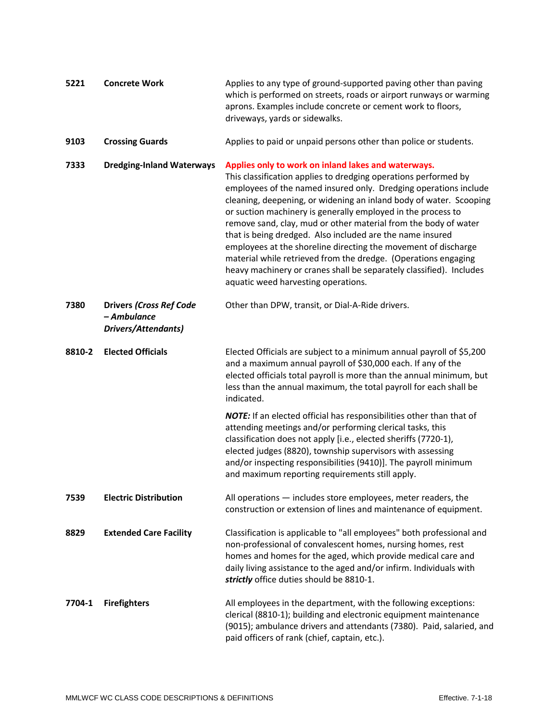| 5221   | <b>Concrete Work</b>                                                        | Applies to any type of ground-supported paving other than paving<br>which is performed on streets, roads or airport runways or warming<br>aprons. Examples include concrete or cement work to floors,<br>driveways, yards or sidewalks.                                                                                                                                                                                                                                                                                                                                                                                                                                                                            |
|--------|-----------------------------------------------------------------------------|--------------------------------------------------------------------------------------------------------------------------------------------------------------------------------------------------------------------------------------------------------------------------------------------------------------------------------------------------------------------------------------------------------------------------------------------------------------------------------------------------------------------------------------------------------------------------------------------------------------------------------------------------------------------------------------------------------------------|
| 9103   | <b>Crossing Guards</b>                                                      | Applies to paid or unpaid persons other than police or students.                                                                                                                                                                                                                                                                                                                                                                                                                                                                                                                                                                                                                                                   |
| 7333   | <b>Dredging-Inland Waterways</b>                                            | Applies only to work on inland lakes and waterways.<br>This classification applies to dredging operations performed by<br>employees of the named insured only. Dredging operations include<br>cleaning, deepening, or widening an inland body of water. Scooping<br>or suction machinery is generally employed in the process to<br>remove sand, clay, mud or other material from the body of water<br>that is being dredged. Also included are the name insured<br>employees at the shoreline directing the movement of discharge<br>material while retrieved from the dredge. (Operations engaging<br>heavy machinery or cranes shall be separately classified). Includes<br>aquatic weed harvesting operations. |
| 7380   | <b>Drivers (Cross Ref Code</b><br>- Ambulance<br><b>Drivers/Attendants)</b> | Other than DPW, transit, or Dial-A-Ride drivers.                                                                                                                                                                                                                                                                                                                                                                                                                                                                                                                                                                                                                                                                   |
| 8810-2 | <b>Elected Officials</b>                                                    | Elected Officials are subject to a minimum annual payroll of \$5,200<br>and a maximum annual payroll of \$30,000 each. If any of the<br>elected officials total payroll is more than the annual minimum, but<br>less than the annual maximum, the total payroll for each shall be<br>indicated.                                                                                                                                                                                                                                                                                                                                                                                                                    |
|        |                                                                             | NOTE: If an elected official has responsibilities other than that of<br>attending meetings and/or performing clerical tasks, this<br>classification does not apply [i.e., elected sheriffs (7720-1),<br>elected judges (8820), township supervisors with assessing<br>and/or inspecting responsibilities (9410)]. The payroll minimum<br>and maximum reporting requirements still apply.                                                                                                                                                                                                                                                                                                                           |
| 7539   | <b>Electric Distribution</b>                                                | All operations $-$ includes store employees, meter readers, the<br>construction or extension of lines and maintenance of equipment.                                                                                                                                                                                                                                                                                                                                                                                                                                                                                                                                                                                |
| 8829   | <b>Extended Care Facility</b>                                               | Classification is applicable to "all employees" both professional and<br>non-professional of convalescent homes, nursing homes, rest<br>homes and homes for the aged, which provide medical care and<br>daily living assistance to the aged and/or infirm. Individuals with<br>strictly office duties should be 8810-1.                                                                                                                                                                                                                                                                                                                                                                                            |
| 7704-1 | <b>Firefighters</b>                                                         | All employees in the department, with the following exceptions:<br>clerical (8810-1); building and electronic equipment maintenance<br>(9015); ambulance drivers and attendants (7380). Paid, salaried, and<br>paid officers of rank (chief, captain, etc.).                                                                                                                                                                                                                                                                                                                                                                                                                                                       |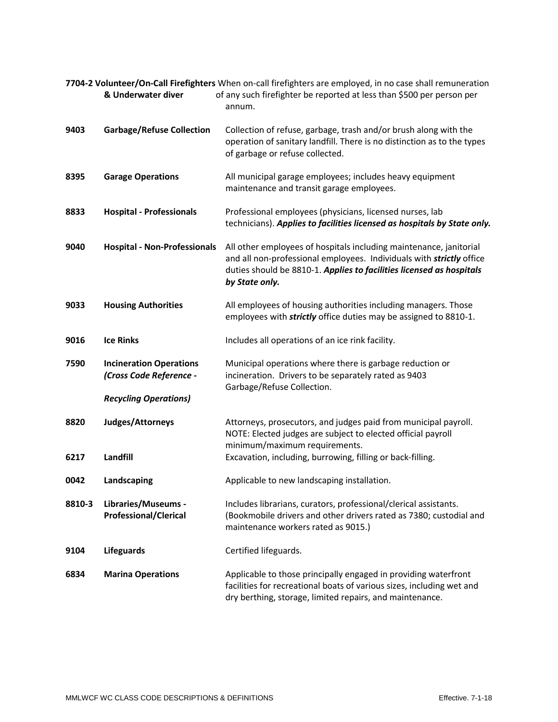| 7704-2 Volunteer/On-Call Firefighters When on-call firefighters are employed, in no case shall remuneration |                                                           |                                                                                                                                                                                                                                      |
|-------------------------------------------------------------------------------------------------------------|-----------------------------------------------------------|--------------------------------------------------------------------------------------------------------------------------------------------------------------------------------------------------------------------------------------|
|                                                                                                             | & Underwater diver                                        | of any such firefighter be reported at less than \$500 per person per<br>annum.                                                                                                                                                      |
| 9403                                                                                                        | <b>Garbage/Refuse Collection</b>                          | Collection of refuse, garbage, trash and/or brush along with the<br>operation of sanitary landfill. There is no distinction as to the types<br>of garbage or refuse collected.                                                       |
| 8395                                                                                                        | <b>Garage Operations</b>                                  | All municipal garage employees; includes heavy equipment<br>maintenance and transit garage employees.                                                                                                                                |
| 8833                                                                                                        | <b>Hospital - Professionals</b>                           | Professional employees (physicians, licensed nurses, lab<br>technicians). Applies to facilities licensed as hospitals by State only.                                                                                                 |
| 9040                                                                                                        | <b>Hospital - Non-Professionals</b>                       | All other employees of hospitals including maintenance, janitorial<br>and all non-professional employees. Individuals with strictly office<br>duties should be 8810-1. Applies to facilities licensed as hospitals<br>by State only. |
| 9033                                                                                                        | <b>Housing Authorities</b>                                | All employees of housing authorities including managers. Those<br>employees with strictly office duties may be assigned to 8810-1.                                                                                                   |
| 9016                                                                                                        | <b>Ice Rinks</b>                                          | Includes all operations of an ice rink facility.                                                                                                                                                                                     |
| 7590                                                                                                        | <b>Incineration Operations</b><br>(Cross Code Reference - | Municipal operations where there is garbage reduction or<br>incineration. Drivers to be separately rated as 9403<br>Garbage/Refuse Collection.                                                                                       |
|                                                                                                             | <b>Recycling Operations)</b>                              |                                                                                                                                                                                                                                      |
| 8820                                                                                                        | Judges/Attorneys                                          | Attorneys, prosecutors, and judges paid from municipal payroll.<br>NOTE: Elected judges are subject to elected official payroll<br>minimum/maximum requirements.                                                                     |
| 6217                                                                                                        | Landfill                                                  | Excavation, including, burrowing, filling or back-filling.                                                                                                                                                                           |
| 0042                                                                                                        | Landscaping                                               | Applicable to new landscaping installation.                                                                                                                                                                                          |
| 8810-3                                                                                                      | Libraries/Museums -<br><b>Professional/Clerical</b>       | Includes librarians, curators, professional/clerical assistants.<br>(Bookmobile drivers and other drivers rated as 7380; custodial and<br>maintenance workers rated as 9015.)                                                        |
| 9104                                                                                                        | <b>Lifeguards</b>                                         | Certified lifeguards.                                                                                                                                                                                                                |
| 6834                                                                                                        | <b>Marina Operations</b>                                  | Applicable to those principally engaged in providing waterfront<br>facilities for recreational boats of various sizes, including wet and<br>dry berthing, storage, limited repairs, and maintenance.                                 |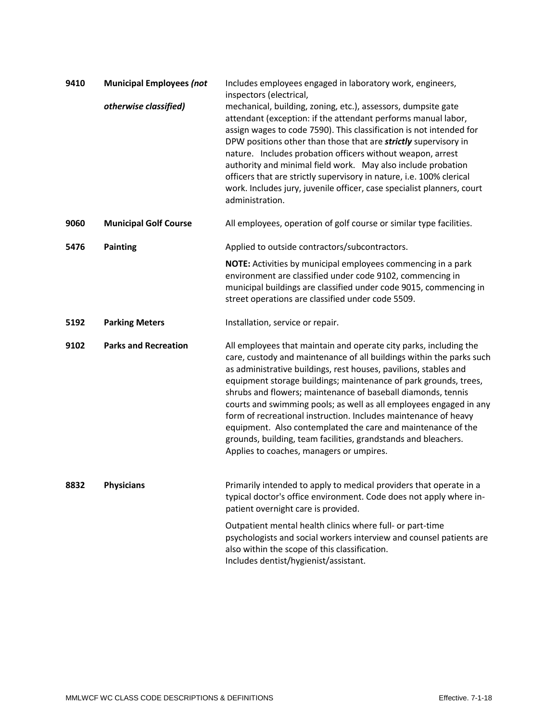| 9410 | <b>Municipal Employees (not</b> | Includes employees engaged in laboratory work, engineers,<br>inspectors (electrical,                                                                                                                                                                                                                                                                                                                                                                                                                                                                                                                                                                                     |
|------|---------------------------------|--------------------------------------------------------------------------------------------------------------------------------------------------------------------------------------------------------------------------------------------------------------------------------------------------------------------------------------------------------------------------------------------------------------------------------------------------------------------------------------------------------------------------------------------------------------------------------------------------------------------------------------------------------------------------|
|      | otherwise classified)           | mechanical, building, zoning, etc.), assessors, dumpsite gate<br>attendant (exception: if the attendant performs manual labor,<br>assign wages to code 7590). This classification is not intended for<br>DPW positions other than those that are strictly supervisory in<br>nature. Includes probation officers without weapon, arrest<br>authority and minimal field work. May also include probation<br>officers that are strictly supervisory in nature, i.e. 100% clerical<br>work. Includes jury, juvenile officer, case specialist planners, court<br>administration.                                                                                              |
| 9060 | <b>Municipal Golf Course</b>    | All employees, operation of golf course or similar type facilities.                                                                                                                                                                                                                                                                                                                                                                                                                                                                                                                                                                                                      |
| 5476 | <b>Painting</b>                 | Applied to outside contractors/subcontractors.                                                                                                                                                                                                                                                                                                                                                                                                                                                                                                                                                                                                                           |
|      |                                 | NOTE: Activities by municipal employees commencing in a park<br>environment are classified under code 9102, commencing in<br>municipal buildings are classified under code 9015, commencing in<br>street operations are classified under code 5509.                                                                                                                                                                                                                                                                                                                                                                                                                      |
| 5192 | <b>Parking Meters</b>           | Installation, service or repair.                                                                                                                                                                                                                                                                                                                                                                                                                                                                                                                                                                                                                                         |
| 9102 | <b>Parks and Recreation</b>     | All employees that maintain and operate city parks, including the<br>care, custody and maintenance of all buildings within the parks such<br>as administrative buildings, rest houses, pavilions, stables and<br>equipment storage buildings; maintenance of park grounds, trees,<br>shrubs and flowers; maintenance of baseball diamonds, tennis<br>courts and swimming pools; as well as all employees engaged in any<br>form of recreational instruction. Includes maintenance of heavy<br>equipment. Also contemplated the care and maintenance of the<br>grounds, building, team facilities, grandstands and bleachers.<br>Applies to coaches, managers or umpires. |
| 8832 | <b>Physicians</b>               | Primarily intended to apply to medical providers that operate in a<br>typical doctor's office environment. Code does not apply where in-<br>patient overnight care is provided.                                                                                                                                                                                                                                                                                                                                                                                                                                                                                          |
|      |                                 | Outpatient mental health clinics where full- or part-time<br>psychologists and social workers interview and counsel patients are<br>also within the scope of this classification.<br>Includes dentist/hygienist/assistant.                                                                                                                                                                                                                                                                                                                                                                                                                                               |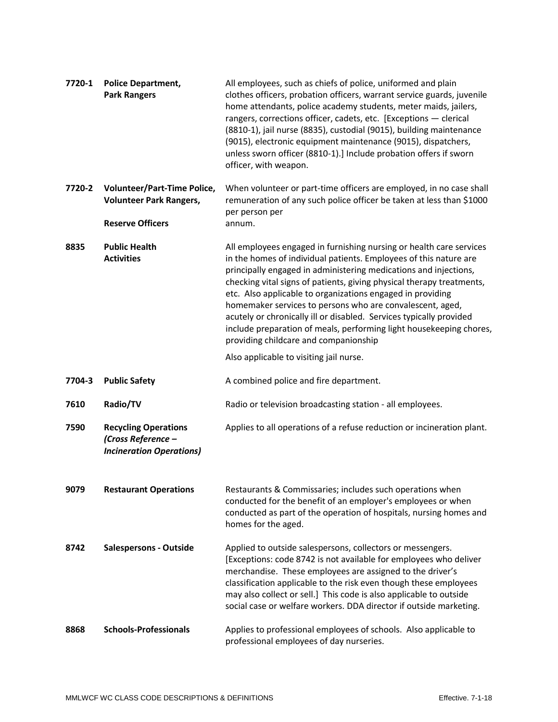| 7720-1 | <b>Police Department,</b><br><b>Park Rangers</b>                                     | All employees, such as chiefs of police, uniformed and plain<br>clothes officers, probation officers, warrant service guards, juvenile<br>home attendants, police academy students, meter maids, jailers,<br>rangers, corrections officer, cadets, etc. [Exceptions - clerical<br>(8810-1), jail nurse (8835), custodial (9015), building maintenance<br>(9015), electronic equipment maintenance (9015), dispatchers,<br>unless sworn officer (8810-1).] Include probation offers if sworn<br>officer, with weapon.                                                                                    |
|--------|--------------------------------------------------------------------------------------|---------------------------------------------------------------------------------------------------------------------------------------------------------------------------------------------------------------------------------------------------------------------------------------------------------------------------------------------------------------------------------------------------------------------------------------------------------------------------------------------------------------------------------------------------------------------------------------------------------|
| 7720-2 | <b>Volunteer/Part-Time Police,</b><br><b>Volunteer Park Rangers,</b>                 | When volunteer or part-time officers are employed, in no case shall<br>remuneration of any such police officer be taken at less than \$1000<br>per person per                                                                                                                                                                                                                                                                                                                                                                                                                                           |
|        | <b>Reserve Officers</b>                                                              | annum.                                                                                                                                                                                                                                                                                                                                                                                                                                                                                                                                                                                                  |
| 8835   | <b>Public Health</b><br><b>Activities</b>                                            | All employees engaged in furnishing nursing or health care services<br>in the homes of individual patients. Employees of this nature are<br>principally engaged in administering medications and injections,<br>checking vital signs of patients, giving physical therapy treatments,<br>etc. Also applicable to organizations engaged in providing<br>homemaker services to persons who are convalescent, aged,<br>acutely or chronically ill or disabled. Services typically provided<br>include preparation of meals, performing light housekeeping chores,<br>providing childcare and companionship |
|        |                                                                                      | Also applicable to visiting jail nurse.                                                                                                                                                                                                                                                                                                                                                                                                                                                                                                                                                                 |
| 7704-3 | <b>Public Safety</b>                                                                 | A combined police and fire department.                                                                                                                                                                                                                                                                                                                                                                                                                                                                                                                                                                  |
| 7610   | Radio/TV                                                                             | Radio or television broadcasting station - all employees.                                                                                                                                                                                                                                                                                                                                                                                                                                                                                                                                               |
| 7590   | <b>Recycling Operations</b><br>(Cross Reference -<br><b>Incineration Operations)</b> | Applies to all operations of a refuse reduction or incineration plant.                                                                                                                                                                                                                                                                                                                                                                                                                                                                                                                                  |
| 9079   | <b>Restaurant Operations</b>                                                         | Restaurants & Commissaries; includes such operations when<br>conducted for the benefit of an employer's employees or when<br>conducted as part of the operation of hospitals, nursing homes and<br>homes for the aged.                                                                                                                                                                                                                                                                                                                                                                                  |
| 8742   | <b>Salespersons - Outside</b>                                                        | Applied to outside salespersons, collectors or messengers.<br>[Exceptions: code 8742 is not available for employees who deliver<br>merchandise. These employees are assigned to the driver's<br>classification applicable to the risk even though these employees<br>may also collect or sell.] This code is also applicable to outside<br>social case or welfare workers. DDA director if outside marketing.                                                                                                                                                                                           |
| 8868   | <b>Schools-Professionals</b>                                                         | Applies to professional employees of schools. Also applicable to<br>professional employees of day nurseries.                                                                                                                                                                                                                                                                                                                                                                                                                                                                                            |